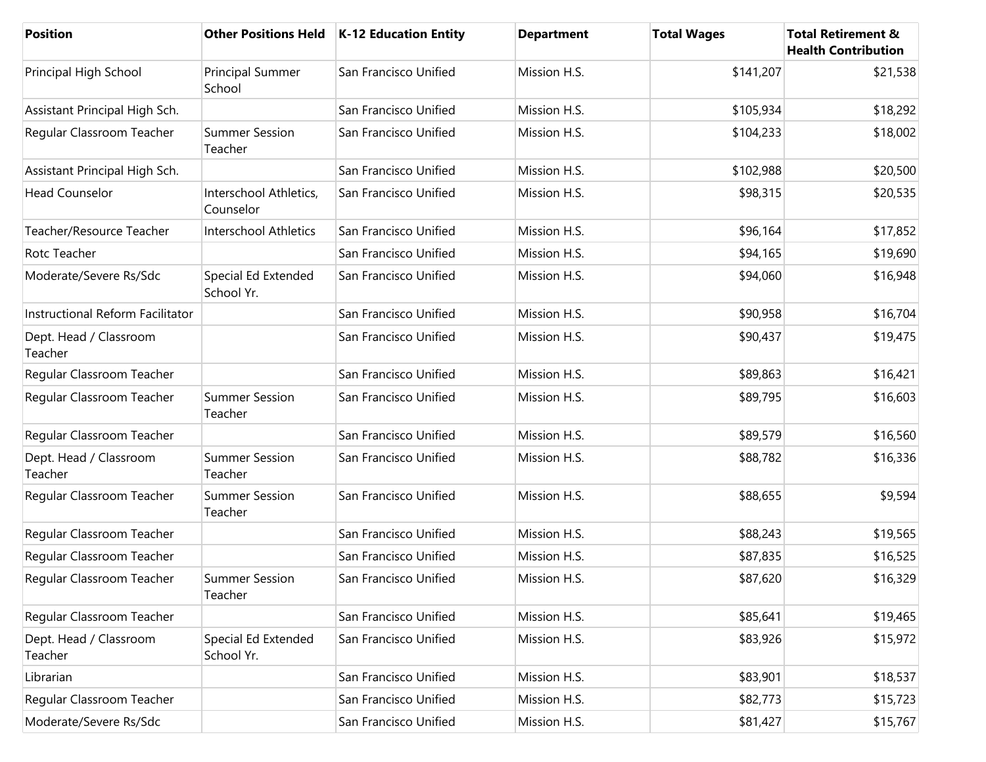| Position                          |                                     | Other Positions Held   K-12 Education Entity | <b>Department</b> | <b>Total Wages</b> | <b>Total Retirement &amp;</b><br><b>Health Contribution</b> |
|-----------------------------------|-------------------------------------|----------------------------------------------|-------------------|--------------------|-------------------------------------------------------------|
| Principal High School             | <b>Principal Summer</b><br>School   | San Francisco Unified                        | Mission H.S.      | \$141,207          | \$21,538                                                    |
| Assistant Principal High Sch.     |                                     | San Francisco Unified                        | Mission H.S.      | \$105,934          | \$18,292                                                    |
| Regular Classroom Teacher         | <b>Summer Session</b><br>Teacher    | San Francisco Unified                        | Mission H.S.      | \$104,233          | \$18,002                                                    |
| Assistant Principal High Sch.     |                                     | San Francisco Unified                        | Mission H.S.      | \$102,988          | \$20,500                                                    |
| <b>Head Counselor</b>             | Interschool Athletics,<br>Counselor | San Francisco Unified                        | Mission H.S.      | \$98,315           | \$20,535                                                    |
| Teacher/Resource Teacher          | <b>Interschool Athletics</b>        | San Francisco Unified                        | Mission H.S.      | \$96,164           | \$17,852                                                    |
| Rotc Teacher                      |                                     | San Francisco Unified                        | Mission H.S.      | \$94,165           | \$19,690                                                    |
| Moderate/Severe Rs/Sdc            | Special Ed Extended<br>School Yr.   | San Francisco Unified                        | Mission H.S.      | \$94,060           | \$16,948                                                    |
| Instructional Reform Facilitator  |                                     | San Francisco Unified                        | Mission H.S.      | \$90,958           | \$16,704                                                    |
| Dept. Head / Classroom<br>Teacher |                                     | San Francisco Unified                        | Mission H.S.      | \$90,437           | \$19,475                                                    |
| Regular Classroom Teacher         |                                     | San Francisco Unified                        | Mission H.S.      | \$89,863           | \$16,421                                                    |
| Regular Classroom Teacher         | <b>Summer Session</b><br>Teacher    | San Francisco Unified                        | Mission H.S.      | \$89,795           | \$16,603                                                    |
| Regular Classroom Teacher         |                                     | San Francisco Unified                        | Mission H.S.      | \$89,579           | \$16,560                                                    |
| Dept. Head / Classroom<br>Teacher | <b>Summer Session</b><br>Teacher    | San Francisco Unified                        | Mission H.S.      | \$88,782           | \$16,336                                                    |
| Regular Classroom Teacher         | <b>Summer Session</b><br>Teacher    | San Francisco Unified                        | Mission H.S.      | \$88,655           | \$9,594                                                     |
| Regular Classroom Teacher         |                                     | San Francisco Unified                        | Mission H.S.      | \$88,243           | \$19,565                                                    |
| Regular Classroom Teacher         |                                     | San Francisco Unified                        | Mission H.S.      | \$87,835           | \$16,525                                                    |
| Regular Classroom Teacher         | <b>Summer Session</b><br>Teacher    | San Francisco Unified                        | Mission H.S.      | \$87,620           | \$16,329                                                    |
| Regular Classroom Teacher         |                                     | San Francisco Unified                        | Mission H.S.      | \$85,641           | \$19,465                                                    |
| Dept. Head / Classroom<br>Teacher | Special Ed Extended<br>School Yr.   | San Francisco Unified                        | Mission H.S.      | \$83,926           | \$15,972                                                    |
| Librarian                         |                                     | San Francisco Unified                        | Mission H.S.      | \$83,901           | \$18,537                                                    |
| Regular Classroom Teacher         |                                     | San Francisco Unified                        | Mission H.S.      | \$82,773           | \$15,723                                                    |
| Moderate/Severe Rs/Sdc            |                                     | San Francisco Unified                        | Mission H.S.      | \$81,427           | \$15,767                                                    |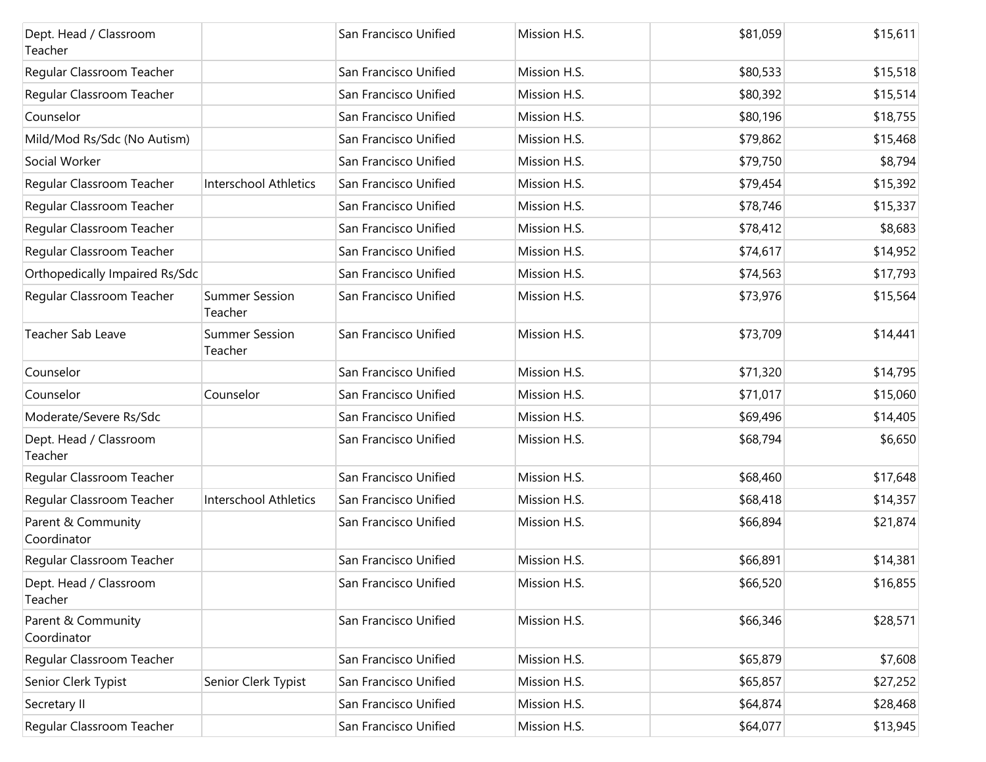| Dept. Head / Classroom<br>Teacher |                                  | San Francisco Unified | Mission H.S. | \$81,059 | \$15,611 |
|-----------------------------------|----------------------------------|-----------------------|--------------|----------|----------|
| Regular Classroom Teacher         |                                  | San Francisco Unified | Mission H.S. | \$80,533 | \$15,518 |
| Regular Classroom Teacher         |                                  | San Francisco Unified | Mission H.S. | \$80,392 | \$15,514 |
| Counselor                         |                                  | San Francisco Unified | Mission H.S. | \$80,196 | \$18,755 |
| Mild/Mod Rs/Sdc (No Autism)       |                                  | San Francisco Unified | Mission H.S. | \$79,862 | \$15,468 |
| Social Worker                     |                                  | San Francisco Unified | Mission H.S. | \$79,750 | \$8,794  |
| Regular Classroom Teacher         | <b>Interschool Athletics</b>     | San Francisco Unified | Mission H.S. | \$79,454 | \$15,392 |
| Regular Classroom Teacher         |                                  | San Francisco Unified | Mission H.S. | \$78,746 | \$15,337 |
| Regular Classroom Teacher         |                                  | San Francisco Unified | Mission H.S. | \$78,412 | \$8,683  |
| Regular Classroom Teacher         |                                  | San Francisco Unified | Mission H.S. | \$74,617 | \$14,952 |
| Orthopedically Impaired Rs/Sdc    |                                  | San Francisco Unified | Mission H.S. | \$74,563 | \$17,793 |
| Regular Classroom Teacher         | <b>Summer Session</b><br>Teacher | San Francisco Unified | Mission H.S. | \$73,976 | \$15,564 |
| Teacher Sab Leave                 | <b>Summer Session</b><br>Teacher | San Francisco Unified | Mission H.S. | \$73,709 | \$14,441 |
| Counselor                         |                                  | San Francisco Unified | Mission H.S. | \$71,320 | \$14,795 |
| Counselor                         | Counselor                        | San Francisco Unified | Mission H.S. | \$71,017 | \$15,060 |
| Moderate/Severe Rs/Sdc            |                                  | San Francisco Unified | Mission H.S. | \$69,496 | \$14,405 |
| Dept. Head / Classroom<br>Teacher |                                  | San Francisco Unified | Mission H.S. | \$68,794 | \$6,650  |
| Regular Classroom Teacher         |                                  | San Francisco Unified | Mission H.S. | \$68,460 | \$17,648 |
| Regular Classroom Teacher         | Interschool Athletics            | San Francisco Unified | Mission H.S. | \$68,418 | \$14,357 |
| Parent & Community<br>Coordinator |                                  | San Francisco Unified | Mission H.S. | \$66,894 | \$21,874 |
| Regular Classroom Teacher         |                                  | San Francisco Unified | Mission H.S. | \$66,891 | \$14,381 |
| Dept. Head / Classroom<br>Teacher |                                  | San Francisco Unified | Mission H.S. | \$66,520 | \$16,855 |
| Parent & Community<br>Coordinator |                                  | San Francisco Unified | Mission H.S. | \$66,346 | \$28,571 |
| Regular Classroom Teacher         |                                  | San Francisco Unified | Mission H.S. | \$65,879 | \$7,608  |
| Senior Clerk Typist               | Senior Clerk Typist              | San Francisco Unified | Mission H.S. | \$65,857 | \$27,252 |
| Secretary II                      |                                  | San Francisco Unified | Mission H.S. | \$64,874 | \$28,468 |
| Regular Classroom Teacher         |                                  | San Francisco Unified | Mission H.S. | \$64,077 | \$13,945 |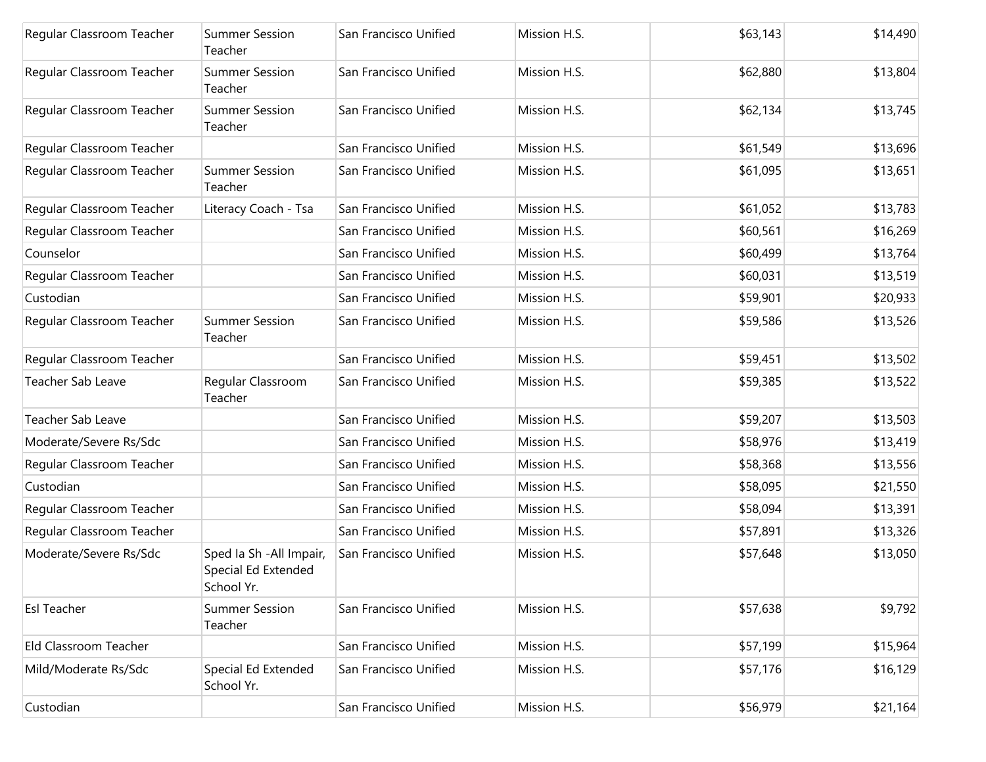| Regular Classroom Teacher | <b>Summer Session</b><br>Teacher                              | San Francisco Unified | Mission H.S. | \$63,143 | \$14,490 |
|---------------------------|---------------------------------------------------------------|-----------------------|--------------|----------|----------|
| Regular Classroom Teacher | <b>Summer Session</b><br>Teacher                              | San Francisco Unified | Mission H.S. | \$62,880 | \$13,804 |
| Regular Classroom Teacher | <b>Summer Session</b><br>Teacher                              | San Francisco Unified | Mission H.S. | \$62,134 | \$13,745 |
| Regular Classroom Teacher |                                                               | San Francisco Unified | Mission H.S. | \$61,549 | \$13,696 |
| Regular Classroom Teacher | <b>Summer Session</b><br>Teacher                              | San Francisco Unified | Mission H.S. | \$61,095 | \$13,651 |
| Regular Classroom Teacher | Literacy Coach - Tsa                                          | San Francisco Unified | Mission H.S. | \$61,052 | \$13,783 |
| Regular Classroom Teacher |                                                               | San Francisco Unified | Mission H.S. | \$60,561 | \$16,269 |
| Counselor                 |                                                               | San Francisco Unified | Mission H.S. | \$60,499 | \$13,764 |
| Regular Classroom Teacher |                                                               | San Francisco Unified | Mission H.S. | \$60,031 | \$13,519 |
| Custodian                 |                                                               | San Francisco Unified | Mission H.S. | \$59,901 | \$20,933 |
| Regular Classroom Teacher | <b>Summer Session</b><br>Teacher                              | San Francisco Unified | Mission H.S. | \$59,586 | \$13,526 |
| Regular Classroom Teacher |                                                               | San Francisco Unified | Mission H.S. | \$59,451 | \$13,502 |
| Teacher Sab Leave         | Regular Classroom<br>Teacher                                  | San Francisco Unified | Mission H.S. | \$59,385 | \$13,522 |
| <b>Teacher Sab Leave</b>  |                                                               | San Francisco Unified | Mission H.S. | \$59,207 | \$13,503 |
| Moderate/Severe Rs/Sdc    |                                                               | San Francisco Unified | Mission H.S. | \$58,976 | \$13,419 |
| Regular Classroom Teacher |                                                               | San Francisco Unified | Mission H.S. | \$58,368 | \$13,556 |
| Custodian                 |                                                               | San Francisco Unified | Mission H.S. | \$58,095 | \$21,550 |
| Regular Classroom Teacher |                                                               | San Francisco Unified | Mission H.S. | \$58,094 | \$13,391 |
| Regular Classroom Teacher |                                                               | San Francisco Unified | Mission H.S. | \$57,891 | \$13,326 |
| Moderate/Severe Rs/Sdc    | Sped Ia Sh - All Impair,<br>Special Ed Extended<br>School Yr. | San Francisco Unified | Mission H.S. | \$57,648 | \$13,050 |
| Esl Teacher               | <b>Summer Session</b><br>Teacher                              | San Francisco Unified | Mission H.S. | \$57,638 | \$9,792  |
| Eld Classroom Teacher     |                                                               | San Francisco Unified | Mission H.S. | \$57,199 | \$15,964 |
| Mild/Moderate Rs/Sdc      | Special Ed Extended<br>School Yr.                             | San Francisco Unified | Mission H.S. | \$57,176 | \$16,129 |
| Custodian                 |                                                               | San Francisco Unified | Mission H.S. | \$56,979 | \$21,164 |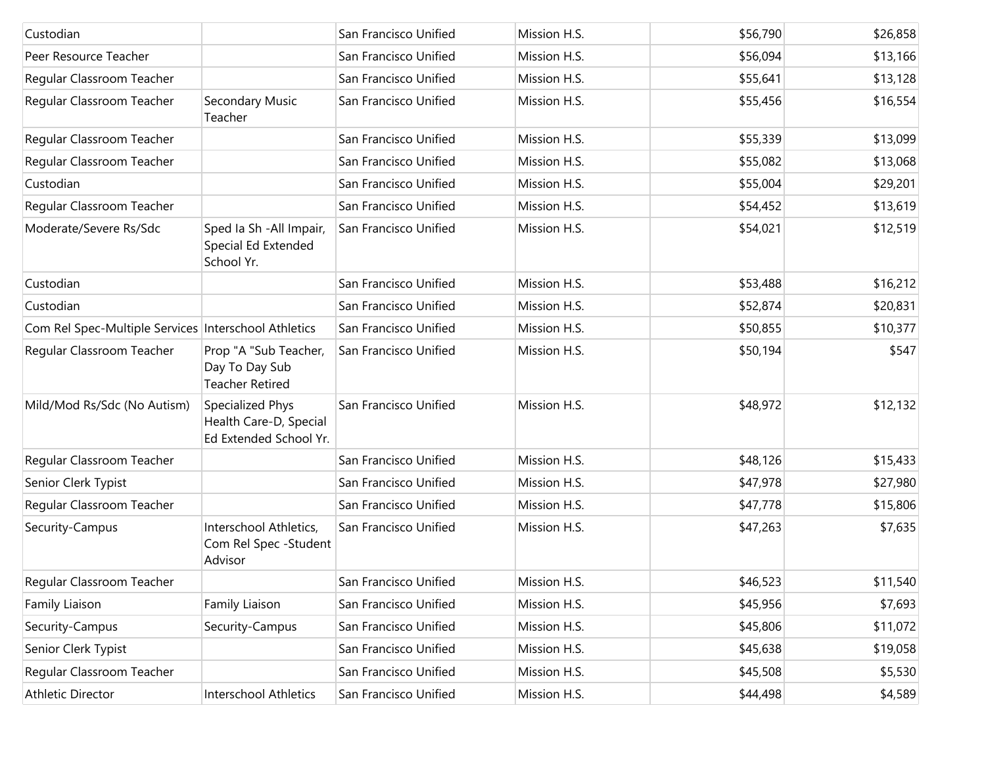| Custodian                                            |                                                                      | San Francisco Unified | Mission H.S. | \$56,790 | \$26,858 |
|------------------------------------------------------|----------------------------------------------------------------------|-----------------------|--------------|----------|----------|
| Peer Resource Teacher                                |                                                                      | San Francisco Unified | Mission H.S. | \$56,094 | \$13,166 |
| Regular Classroom Teacher                            |                                                                      | San Francisco Unified | Mission H.S. | \$55,641 | \$13,128 |
| Regular Classroom Teacher                            | Secondary Music<br>Teacher                                           | San Francisco Unified | Mission H.S. | \$55,456 | \$16,554 |
| Regular Classroom Teacher                            |                                                                      | San Francisco Unified | Mission H.S. | \$55,339 | \$13,099 |
| Regular Classroom Teacher                            |                                                                      | San Francisco Unified | Mission H.S. | \$55,082 | \$13,068 |
| Custodian                                            |                                                                      | San Francisco Unified | Mission H.S. | \$55,004 | \$29,201 |
| Regular Classroom Teacher                            |                                                                      | San Francisco Unified | Mission H.S. | \$54,452 | \$13,619 |
| Moderate/Severe Rs/Sdc                               | Sped Ia Sh - All Impair,<br>Special Ed Extended<br>School Yr.        | San Francisco Unified | Mission H.S. | \$54,021 | \$12,519 |
| Custodian                                            |                                                                      | San Francisco Unified | Mission H.S. | \$53,488 | \$16,212 |
| Custodian                                            |                                                                      | San Francisco Unified | Mission H.S. | \$52,874 | \$20,831 |
| Com Rel Spec-Multiple Services Interschool Athletics |                                                                      | San Francisco Unified | Mission H.S. | \$50,855 | \$10,377 |
| Regular Classroom Teacher                            | Prop "A "Sub Teacher,<br>Day To Day Sub<br><b>Teacher Retired</b>    | San Francisco Unified | Mission H.S. | \$50,194 | \$547    |
| Mild/Mod Rs/Sdc (No Autism)                          | Specialized Phys<br>Health Care-D, Special<br>Ed Extended School Yr. | San Francisco Unified | Mission H.S. | \$48,972 | \$12,132 |
| Regular Classroom Teacher                            |                                                                      | San Francisco Unified | Mission H.S. | \$48,126 | \$15,433 |
| Senior Clerk Typist                                  |                                                                      | San Francisco Unified | Mission H.S. | \$47,978 | \$27,980 |
| Regular Classroom Teacher                            |                                                                      | San Francisco Unified | Mission H.S. | \$47,778 | \$15,806 |
| Security-Campus                                      | Interschool Athletics,<br>Com Rel Spec - Student<br>Advisor          | San Francisco Unified | Mission H.S. | \$47,263 | \$7,635  |
| Regular Classroom Teacher                            |                                                                      | San Francisco Unified | Mission H.S. | \$46,523 | \$11,540 |
| Family Liaison                                       | Family Liaison                                                       | San Francisco Unified | Mission H.S. | \$45,956 | \$7,693  |
| Security-Campus                                      | Security-Campus                                                      | San Francisco Unified | Mission H.S. | \$45,806 | \$11,072 |
| Senior Clerk Typist                                  |                                                                      | San Francisco Unified | Mission H.S. | \$45,638 | \$19,058 |
| Regular Classroom Teacher                            |                                                                      | San Francisco Unified | Mission H.S. | \$45,508 | \$5,530  |
| Athletic Director                                    | Interschool Athletics                                                | San Francisco Unified | Mission H.S. | \$44,498 | \$4,589  |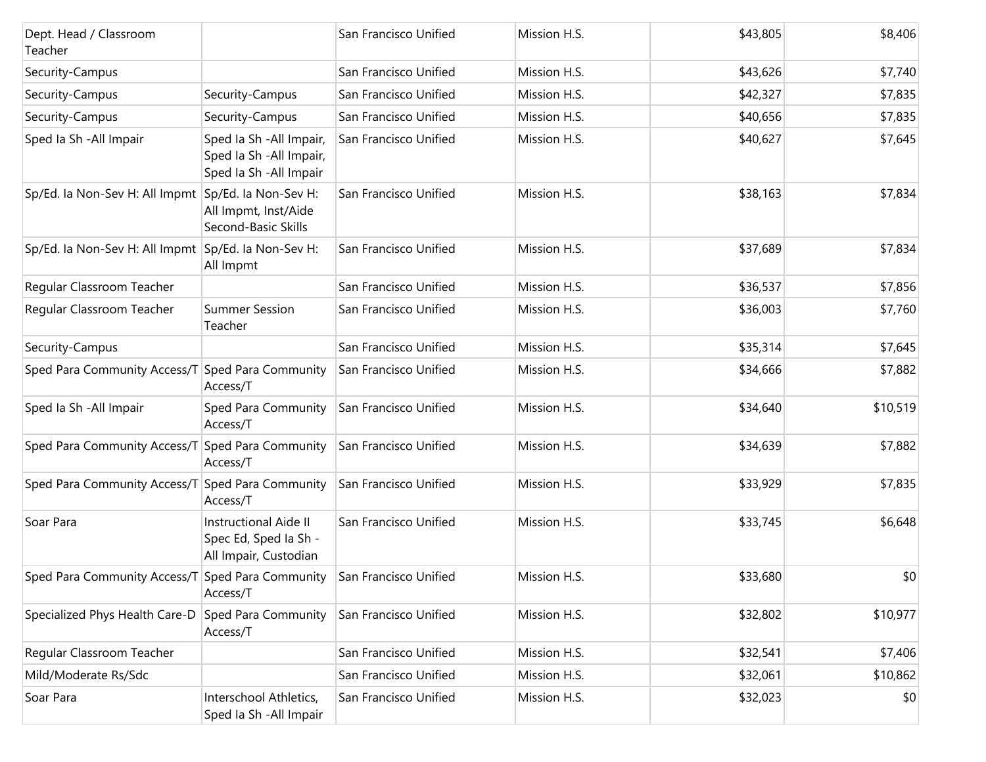| Dept. Head / Classroom<br>Teacher                   |                                                                                 | San Francisco Unified | Mission H.S. | \$43,805 | \$8,406  |
|-----------------------------------------------------|---------------------------------------------------------------------------------|-----------------------|--------------|----------|----------|
| Security-Campus                                     |                                                                                 | San Francisco Unified | Mission H.S. | \$43,626 | \$7,740  |
| Security-Campus                                     | Security-Campus                                                                 | San Francisco Unified | Mission H.S. | \$42,327 | \$7,835  |
| Security-Campus                                     | Security-Campus                                                                 | San Francisco Unified | Mission H.S. | \$40,656 | \$7,835  |
| Sped Ia Sh - All Impair                             | Sped la Sh - All Impair,<br>Sped Ia Sh - All Impair,<br>Sped Ia Sh - All Impair | San Francisco Unified | Mission H.S. | \$40,627 | \$7,645  |
| Sp/Ed. la Non-Sev H: All Impmt Sp/Ed. la Non-Sev H: | All Impmt, Inst/Aide<br>Second-Basic Skills                                     | San Francisco Unified | Mission H.S. | \$38,163 | \$7,834  |
| Sp/Ed. la Non-Sev H: All Impmt Sp/Ed. la Non-Sev H: | All Impmt                                                                       | San Francisco Unified | Mission H.S. | \$37,689 | \$7,834  |
| Regular Classroom Teacher                           |                                                                                 | San Francisco Unified | Mission H.S. | \$36,537 | \$7,856  |
| Regular Classroom Teacher                           | <b>Summer Session</b><br>Teacher                                                | San Francisco Unified | Mission H.S. | \$36,003 | \$7,760  |
| Security-Campus                                     |                                                                                 | San Francisco Unified | Mission H.S. | \$35,314 | \$7,645  |
| Sped Para Community Access/T                        | Sped Para Community<br>Access/T                                                 | San Francisco Unified | Mission H.S. | \$34,666 | \$7,882  |
| Sped Ia Sh - All Impair                             | Sped Para Community<br>Access/T                                                 | San Francisco Unified | Mission H.S. | \$34,640 | \$10,519 |
| Sped Para Community Access/T                        | Sped Para Community<br>Access/T                                                 | San Francisco Unified | Mission H.S. | \$34,639 | \$7,882  |
| Sped Para Community Access/T Sped Para Community    | Access/T                                                                        | San Francisco Unified | Mission H.S. | \$33,929 | \$7,835  |
| Soar Para                                           | Instructional Aide II<br>Spec Ed, Sped Ia Sh -<br>All Impair, Custodian         | San Francisco Unified | Mission H.S. | \$33,745 | \$6,648  |
| Sped Para Community Access/T Sped Para Community    | Access/T                                                                        | San Francisco Unified | Mission H.S. | \$33,680 | \$0      |
| Specialized Phys Health Care-D                      | Sped Para Community<br>Access/T                                                 | San Francisco Unified | Mission H.S. | \$32,802 | \$10,977 |
| Regular Classroom Teacher                           |                                                                                 | San Francisco Unified | Mission H.S. | \$32,541 | \$7,406  |
| Mild/Moderate Rs/Sdc                                |                                                                                 | San Francisco Unified | Mission H.S. | \$32,061 | \$10,862 |
| Soar Para                                           | Interschool Athletics,<br>Sped Ia Sh - All Impair                               | San Francisco Unified | Mission H.S. | \$32,023 | \$0      |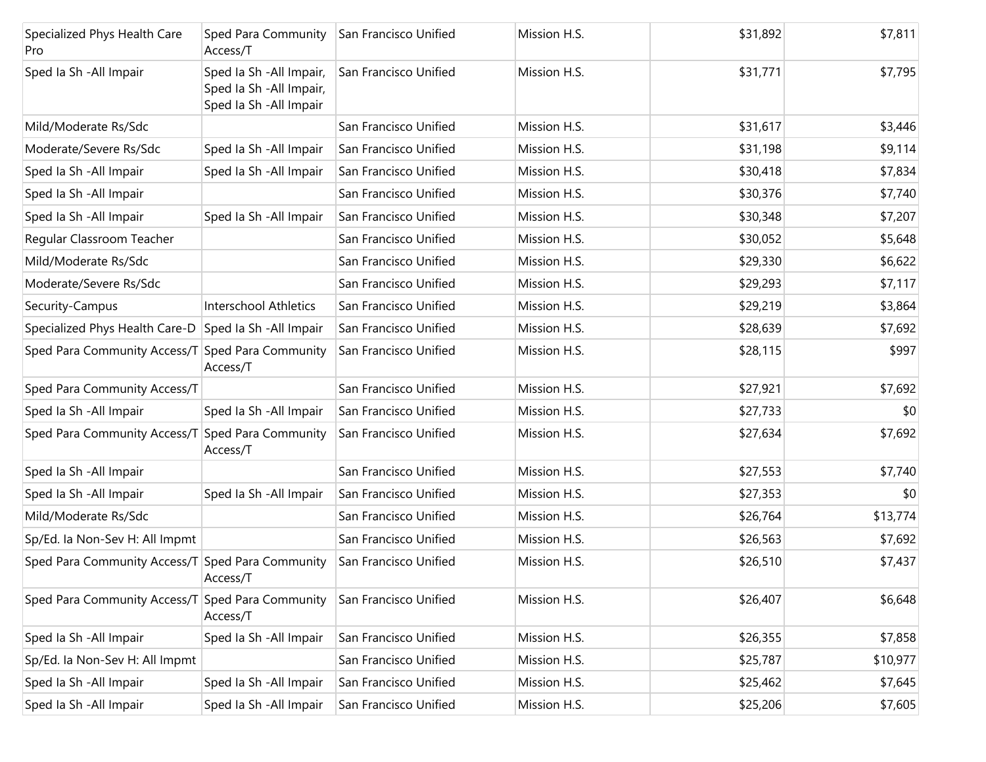| Specialized Phys Health Care<br>Pro              | Sped Para Community<br>Access/T                                                 | San Francisco Unified | Mission H.S. | \$31,892 | \$7,811  |
|--------------------------------------------------|---------------------------------------------------------------------------------|-----------------------|--------------|----------|----------|
| Sped Ia Sh - All Impair                          | Sped la Sh - All Impair,<br>Sped la Sh - All Impair,<br>Sped Ia Sh - All Impair | San Francisco Unified | Mission H.S. | \$31,771 | \$7,795  |
| Mild/Moderate Rs/Sdc                             |                                                                                 | San Francisco Unified | Mission H.S. | \$31,617 | \$3,446  |
| Moderate/Severe Rs/Sdc                           | Sped Ia Sh - All Impair                                                         | San Francisco Unified | Mission H.S. | \$31,198 | \$9,114  |
| Sped Ia Sh - All Impair                          | Sped la Sh - All Impair                                                         | San Francisco Unified | Mission H.S. | \$30,418 | \$7,834  |
| Sped Ia Sh - All Impair                          |                                                                                 | San Francisco Unified | Mission H.S. | \$30,376 | \$7,740  |
| Sped Ia Sh - All Impair                          | Sped Ia Sh - All Impair                                                         | San Francisco Unified | Mission H.S. | \$30,348 | \$7,207  |
| Regular Classroom Teacher                        |                                                                                 | San Francisco Unified | Mission H.S. | \$30,052 | \$5,648  |
| Mild/Moderate Rs/Sdc                             |                                                                                 | San Francisco Unified | Mission H.S. | \$29,330 | \$6,622  |
| Moderate/Severe Rs/Sdc                           |                                                                                 | San Francisco Unified | Mission H.S. | \$29,293 | \$7,117  |
| Security-Campus                                  | <b>Interschool Athletics</b>                                                    | San Francisco Unified | Mission H.S. | \$29,219 | \$3,864  |
| Specialized Phys Health Care-D                   | Sped la Sh - All Impair                                                         | San Francisco Unified | Mission H.S. | \$28,639 | \$7,692  |
| Sped Para Community Access/T Sped Para Community | Access/T                                                                        | San Francisco Unified | Mission H.S. | \$28,115 | \$997    |
| Sped Para Community Access/T                     |                                                                                 | San Francisco Unified | Mission H.S. | \$27,921 | \$7,692  |
| Sped Ia Sh - All Impair                          | Sped Ia Sh - All Impair                                                         | San Francisco Unified | Mission H.S. | \$27,733 | \$0      |
| Sped Para Community Access/T                     | Sped Para Community<br>Access/T                                                 | San Francisco Unified | Mission H.S. | \$27,634 | \$7,692  |
| Sped Ia Sh - All Impair                          |                                                                                 | San Francisco Unified | Mission H.S. | \$27,553 | \$7,740  |
| Sped Ia Sh - All Impair                          | Sped Ia Sh - All Impair                                                         | San Francisco Unified | Mission H.S. | \$27,353 | \$0      |
| Mild/Moderate Rs/Sdc                             |                                                                                 | San Francisco Unified | Mission H.S. | \$26,764 | \$13,774 |
| Sp/Ed. la Non-Sev H: All Impmt                   |                                                                                 | San Francisco Unified | Mission H.S. | \$26,563 | \$7,692  |
| Sped Para Community Access/T Sped Para Community | Access/T                                                                        | San Francisco Unified | Mission H.S. | \$26,510 | \$7,437  |
| Sped Para Community Access/T                     | Sped Para Community<br>Access/T                                                 | San Francisco Unified | Mission H.S. | \$26,407 | \$6,648  |
| Sped Ia Sh - All Impair                          | Sped Ia Sh - All Impair                                                         | San Francisco Unified | Mission H.S. | \$26,355 | \$7,858  |
| Sp/Ed. la Non-Sev H: All Impmt                   |                                                                                 | San Francisco Unified | Mission H.S. | \$25,787 | \$10,977 |
| Sped Ia Sh - All Impair                          | Sped Ia Sh - All Impair                                                         | San Francisco Unified | Mission H.S. | \$25,462 | \$7,645  |
| Sped Ia Sh - All Impair                          | Sped la Sh - All Impair                                                         | San Francisco Unified | Mission H.S. | \$25,206 | \$7,605  |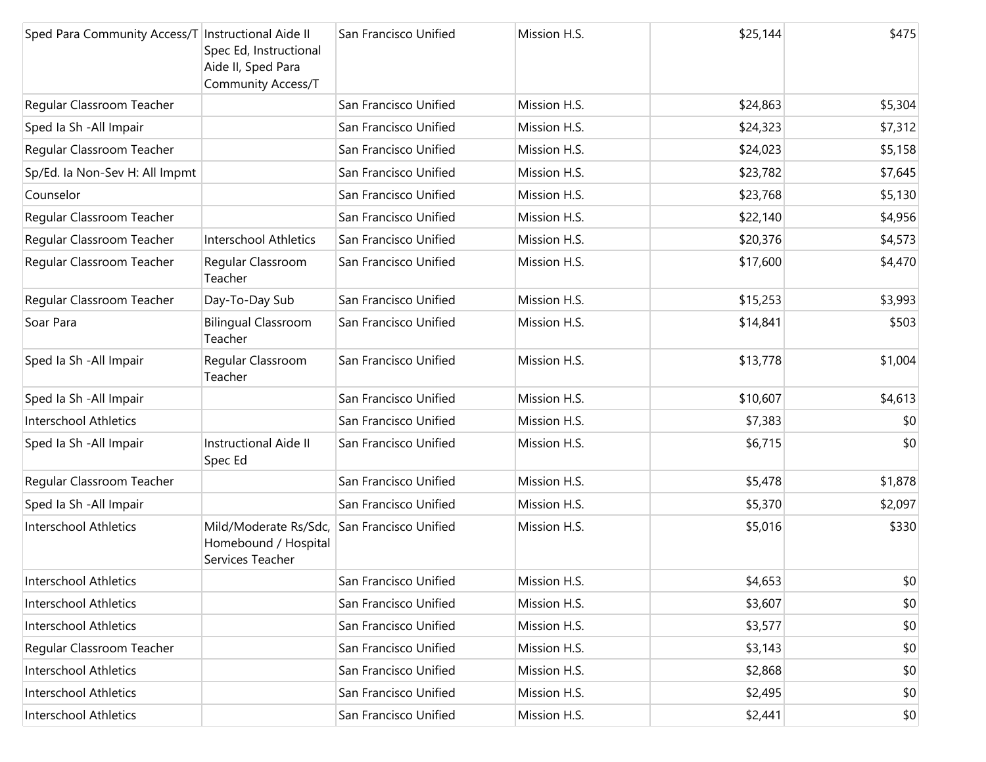| Sped Para Community Access/T Instructional Aide II | Spec Ed, Instructional<br>Aide II, Sped Para<br>Community Access/T | San Francisco Unified | Mission H.S. | \$25,144 | \$475   |
|----------------------------------------------------|--------------------------------------------------------------------|-----------------------|--------------|----------|---------|
| Regular Classroom Teacher                          |                                                                    | San Francisco Unified | Mission H.S. | \$24,863 | \$5,304 |
| Sped Ia Sh - All Impair                            |                                                                    | San Francisco Unified | Mission H.S. | \$24,323 | \$7,312 |
| Regular Classroom Teacher                          |                                                                    | San Francisco Unified | Mission H.S. | \$24,023 | \$5,158 |
| Sp/Ed. la Non-Sev H: All Impmt                     |                                                                    | San Francisco Unified | Mission H.S. | \$23,782 | \$7,645 |
| Counselor                                          |                                                                    | San Francisco Unified | Mission H.S. | \$23,768 | \$5,130 |
| Regular Classroom Teacher                          |                                                                    | San Francisco Unified | Mission H.S. | \$22,140 | \$4,956 |
| Regular Classroom Teacher                          | <b>Interschool Athletics</b>                                       | San Francisco Unified | Mission H.S. | \$20,376 | \$4,573 |
| Regular Classroom Teacher                          | Regular Classroom<br>Teacher                                       | San Francisco Unified | Mission H.S. | \$17,600 | \$4,470 |
| Regular Classroom Teacher                          | Day-To-Day Sub                                                     | San Francisco Unified | Mission H.S. | \$15,253 | \$3,993 |
| Soar Para                                          | <b>Bilingual Classroom</b><br>Teacher                              | San Francisco Unified | Mission H.S. | \$14,841 | \$503   |
| Sped Ia Sh - All Impair                            | Regular Classroom<br>Teacher                                       | San Francisco Unified | Mission H.S. | \$13,778 | \$1,004 |
| Sped Ia Sh - All Impair                            |                                                                    | San Francisco Unified | Mission H.S. | \$10,607 | \$4,613 |
| <b>Interschool Athletics</b>                       |                                                                    | San Francisco Unified | Mission H.S. | \$7,383  | \$0     |
| Sped Ia Sh - All Impair                            | Instructional Aide II<br>Spec Ed                                   | San Francisco Unified | Mission H.S. | \$6,715  | \$0     |
| Regular Classroom Teacher                          |                                                                    | San Francisco Unified | Mission H.S. | \$5,478  | \$1,878 |
| Sped la Sh - All Impair                            |                                                                    | San Francisco Unified | Mission H.S. | \$5,370  | \$2,097 |
| <b>Interschool Athletics</b>                       | Mild/Moderate Rs/Sdc,<br>Homebound / Hospital<br>Services Teacher  | San Francisco Unified | Mission H.S. | \$5,016  | \$330   |
| Interschool Athletics                              |                                                                    | San Francisco Unified | Mission H.S. | \$4,653  | \$0     |
| Interschool Athletics                              |                                                                    | San Francisco Unified | Mission H.S. | \$3,607  | \$0     |
| <b>Interschool Athletics</b>                       |                                                                    | San Francisco Unified | Mission H.S. | \$3,577  | \$0     |
| Regular Classroom Teacher                          |                                                                    | San Francisco Unified | Mission H.S. | \$3,143  | \$0     |
| Interschool Athletics                              |                                                                    | San Francisco Unified | Mission H.S. | \$2,868  | \$0     |
| Interschool Athletics                              |                                                                    | San Francisco Unified | Mission H.S. | \$2,495  | \$0     |
| <b>Interschool Athletics</b>                       |                                                                    | San Francisco Unified | Mission H.S. | \$2,441  | \$0     |